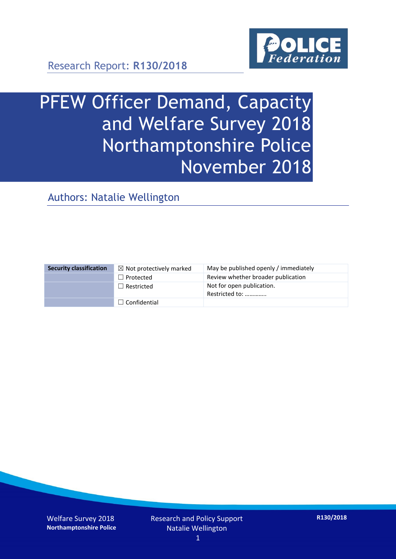

Research Report: **R130/2018**

# PFEW Officer Demand, Capacity and Welfare Survey 2018 Northamptonshire Police November 2018

Authors: Natalie Wellington

| <b>Security classification</b> | $\boxtimes$ Not protectively marked | May be published openly / immediately       |
|--------------------------------|-------------------------------------|---------------------------------------------|
|                                | $\Box$ Protected                    | Review whether broader publication          |
|                                | $\Box$ Restricted                   | Not for open publication.<br>Restricted to: |
|                                | $\Box$ Confidential                 |                                             |

Welfare Survey 2018 **Northamptonshire Police** Research and Policy Support Natalie Wellington

**R130/2018**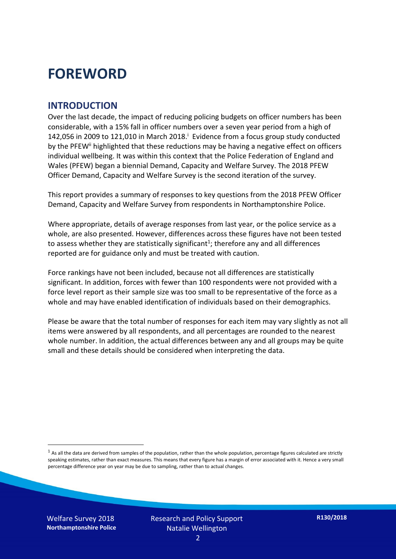### **FOREWORD**

#### **INTRODUCTION**

Over the last decade, the impact of reducing policing budgets on officer numbers has been considerable, with a 15% fall in officer numbers over a seven year period from a high of 142,056 in 2009 to 121,010 in March 2018. $^{\mathrm{i}}$  Evidence from a focus group study conducted by the PFEW<sup>ii</sup> highlighted that these reductions may be having a negative effect on officers individual wellbeing. It was within this context that the Police Federation of England and Wales (PFEW) began a biennial Demand, Capacity and Welfare Survey. The 2018 PFEW Officer Demand, Capacity and Welfare Survey is the second iteration of the survey.

This report provides a summary of responses to key questions from the 2018 PFEW Officer Demand, Capacity and Welfare Survey from respondents in Northamptonshire Police.

Where appropriate, details of average responses from last year, or the police service as a whole, are also presented. However, differences across these figures have not been tested to assess whether they are statistically significant<sup>1</sup>; therefore any and all differences reported are for guidance only and must be treated with caution.

Force rankings have not been included, because not all differences are statistically significant. In addition, forces with fewer than 100 respondents were not provided with a force level report as their sample size was too small to be representative of the force as a whole and may have enabled identification of individuals based on their demographics.

Please be aware that the total number of responses for each item may vary slightly as not all items were answered by all respondents, and all percentages are rounded to the nearest whole number. In addition, the actual differences between any and all groups may be quite small and these details should be considered when interpreting the data.

 $<sup>1</sup>$  As all the data are derived from samples of the population, rather than the whole population, percentage figures calculated are strictly</sup> speaking estimates, rather than exact measures. This means that every figure has a margin of error associated with it. Hence a very small percentage difference year on year may be due to sampling, rather than to actual changes.

Welfare Survey 2018 **Northamptonshire Police**

-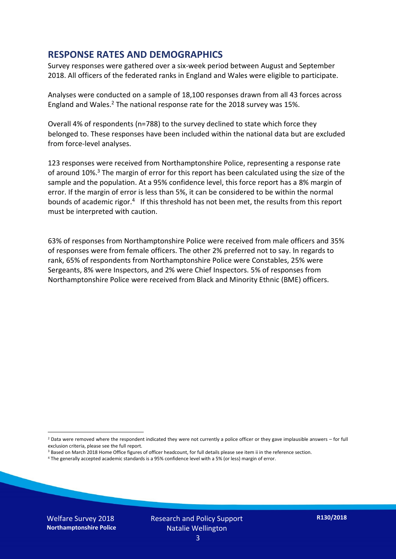#### **RESPONSE RATES AND DEMOGRAPHICS**

Survey responses were gathered over a six-week period between August and September 2018. All officers of the federated ranks in England and Wales were eligible to participate.

Analyses were conducted on a sample of 18,100 responses drawn from all 43 forces across England and Wales.<sup>2</sup> The national response rate for the 2018 survey was 15%.

Overall 4% of respondents (n=788) to the survey declined to state which force they belonged to. These responses have been included within the national data but are excluded from force-level analyses.

123 responses were received from Northamptonshire Police, representing a response rate of around 10%.<sup>3</sup> The margin of error for this report has been calculated using the size of the sample and the population. At a 95% confidence level, this force report has a 8% margin of error. If the margin of error is less than 5%, it can be considered to be within the normal bounds of academic rigor.<sup>4</sup> If this threshold has not been met, the results from this report must be interpreted with caution.

63% of responses from Northamptonshire Police were received from male officers and 35% of responses were from female officers. The other 2% preferred not to say. In regards to rank, 65% of respondents from Northamptonshire Police were Constables, 25% were Sergeants, 8% were Inspectors, and 2% were Chief Inspectors. 5% of responses from Northamptonshire Police were received from Black and Minority Ethnic (BME) officers.

-

 $2$  Data were removed where the respondent indicated they were not currently a police officer or they gave implausible answers – for full exclusion criteria, please see the full report.

<sup>3</sup> Based on March 2018 Home Office figures of officer headcount, for full details please see item ii in the reference section.

<sup>4</sup> The generally accepted academic standards is a 95% confidence level with a 5% (or less) margin of error.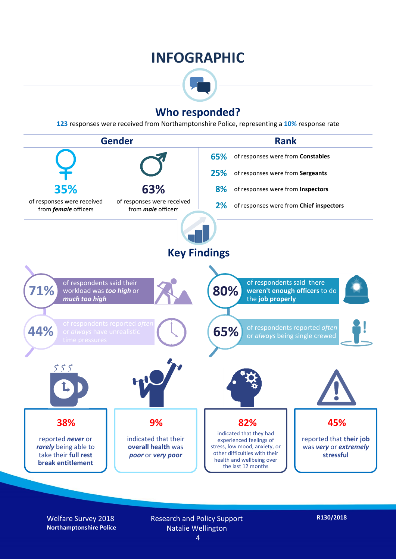### **INFOGRAPHIC**



#### **Who responded?**

**123** responses were received from Northamptonshire Police, representing a **10%** response rate



Welfare Survey 2018 **Northamptonshire Police** Research and Policy Support Natalie Wellington 4

**R130/2018**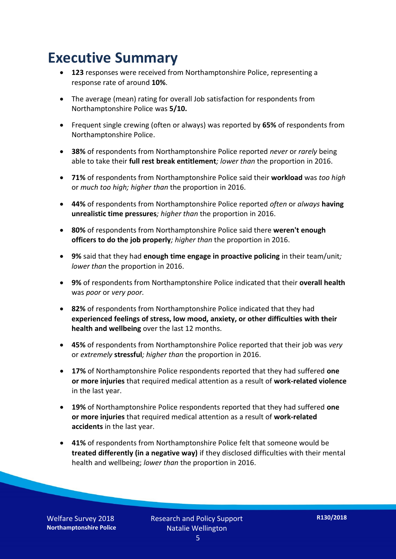### **Executive Summary**

- **123** responses were received from Northamptonshire Police, representing a response rate of around **10%**.
- The average (mean) rating for overall Job satisfaction for respondents from Northamptonshire Police was **5/10.**
- Frequent single crewing (often or always) was reported by **65%** of respondents from Northamptonshire Police.
- **38%** of respondents from Northamptonshire Police reported *never* or *rarely* being able to take their **full rest break entitlement***; lower than* the proportion in 2016.
- **71%** of respondents from Northamptonshire Police said their **workload** was *too high* or *much too high; higher than* the proportion in 2016.
- **44%** of respondents from Northamptonshire Police reported *often* or *always* **having unrealistic time pressures***; higher than* the proportion in 2016.
- **80%** of respondents from Northamptonshire Police said there **weren't enough officers to do the job properly***; higher than* the proportion in 2016.
- **9%** said that they had **enough time engage in proactive policing** in their team/unit*; lower than* the proportion in 2016.
- **9%** of respondents from Northamptonshire Police indicated that their **overall health** was *poor* or *very poor.*
- **82%** of respondents from Northamptonshire Police indicated that they had **experienced feelings of stress, low mood, anxiety, or other difficulties with their health and wellbeing** over the last 12 months.
- **45%** of respondents from Northamptonshire Police reported that their job was *very*  or *extremely* **stressful***; higher than* the proportion in 2016.
- **17%** of Northamptonshire Police respondents reported that they had suffered **one or more injuries** that required medical attention as a result of **work-related violence**  in the last year.
- **19%** of Northamptonshire Police respondents reported that they had suffered **one or more injuries** that required medical attention as a result of **work-related accidents** in the last year.
- **41%** of respondents from Northamptonshire Police felt that someone would be **treated differently (in a negative way)** if they disclosed difficulties with their mental health and wellbeing; *lower than* the proportion in 2016.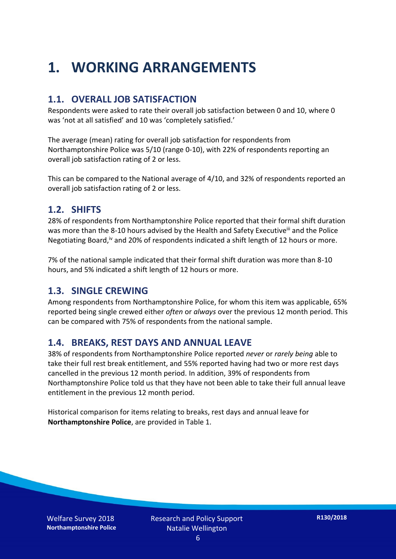### **1. WORKING ARRANGEMENTS**

#### **1.1. OVERALL JOB SATISFACTION**

Respondents were asked to rate their overall job satisfaction between 0 and 10, where 0 was 'not at all satisfied' and 10 was 'completely satisfied.'

The average (mean) rating for overall job satisfaction for respondents from Northamptonshire Police was 5/10 (range 0-10), with 22% of respondents reporting an overall job satisfaction rating of 2 or less.

This can be compared to the National average of 4/10, and 32% of respondents reported an overall job satisfaction rating of 2 or less.

#### **1.2. SHIFTS**

28% of respondents from Northamptonshire Police reported that their formal shift duration was more than the 8-10 hours advised by the Health and Safety Executive<sup>iii</sup> and the Police Negotiating Board,<sup>iv</sup> and 20% of respondents indicated a shift length of 12 hours or more.

7% of the national sample indicated that their formal shift duration was more than 8-10 hours, and 5% indicated a shift length of 12 hours or more.

#### **1.3. SINGLE CREWING**

Among respondents from Northamptonshire Police, for whom this item was applicable, 65% reported being single crewed either *often* or *always* over the previous 12 month period. This can be compared with 75% of respondents from the national sample.

#### **1.4. BREAKS, REST DAYS AND ANNUAL LEAVE**

38% of respondents from Northamptonshire Police reported *never* or *rarely being* able to take their full rest break entitlement, and 55% reported having had two or more rest days cancelled in the previous 12 month period. In addition, 39% of respondents from Northamptonshire Police told us that they have not been able to take their full annual leave entitlement in the previous 12 month period.

Historical comparison for items relating to breaks, rest days and annual leave for **Northamptonshire Police**, are provided in Table 1.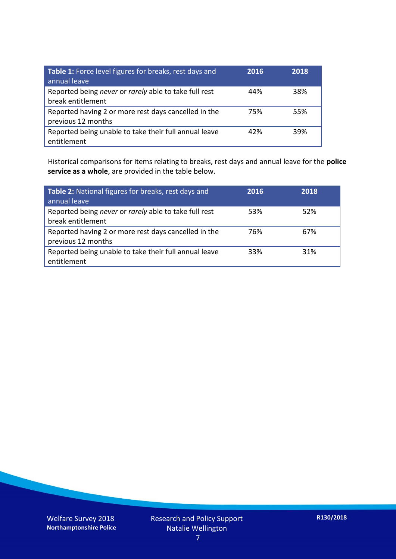| Table 1: Force level figures for breaks, rest days and<br>annual leave     | 2016 | 2018 |
|----------------------------------------------------------------------------|------|------|
| Reported being never or rarely able to take full rest<br>break entitlement | 44%  | 38%  |
| Reported having 2 or more rest days cancelled in the<br>previous 12 months | 75%  | 55%  |
| Reported being unable to take their full annual leave<br>entitlement       | 42%  | 39%  |

Historical comparisons for items relating to breaks, rest days and annual leave for the **police service as a whole**, are provided in the table below.

| Table 2: National figures for breaks, rest days and<br>annual leave        | 2016 | 2018 |
|----------------------------------------------------------------------------|------|------|
| Reported being never or rarely able to take full rest<br>break entitlement | 53%  | 52%  |
| Reported having 2 or more rest days cancelled in the<br>previous 12 months | 76%  | 67%  |
| Reported being unable to take their full annual leave<br>entitlement       | 33%  | 31%  |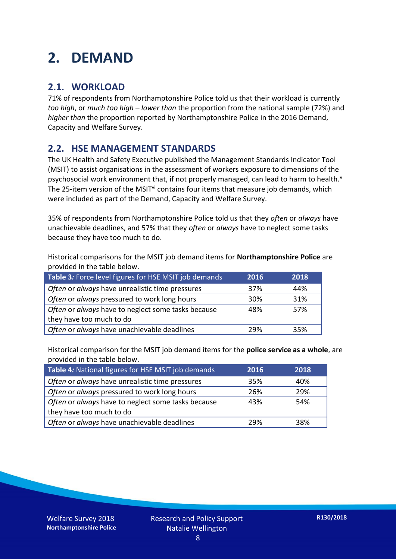### **2. DEMAND**

#### **2.1. WORKLOAD**

71% of respondents from Northamptonshire Police told us that their workload is currently *too high*, or *much too high* – *lower than* the proportion from the national sample (72%) and *higher than* the proportion reported by Northamptonshire Police in the 2016 Demand, Capacity and Welfare Survey.

#### **2.2. HSE MANAGEMENT STANDARDS**

The UK Health and Safety Executive published the Management Standards Indicator Tool (MSIT) to assist organisations in the assessment of workers exposure to dimensions of the psychosocial work environment that, if not properly managed, can lead to harm to health.<sup>v</sup> The 25-item version of the MSIT<sup>vi</sup> contains four items that measure job demands, which were included as part of the Demand, Capacity and Welfare Survey.

35% of respondents from Northamptonshire Police told us that they *often* or *always* have unachievable deadlines, and 57% that they *often* or *always* have to neglect some tasks because they have too much to do.

Historical comparisons for the MSIT job demand items for **Northamptonshire Police** are provided in the table below.

| Table 3: Force level figures for HSE MSIT job demands | 2016 | 2018 |
|-------------------------------------------------------|------|------|
| Often or always have unrealistic time pressures       | 37%  | 44%  |
| Often or always pressured to work long hours          | 30%  | 31%  |
| Often or always have to neglect some tasks because    | 48%  | 57%  |
| they have too much to do                              |      |      |
| Often or always have unachievable deadlines           | 29%  | 35%  |

Historical comparison for the MSIT job demand items for the **police service as a whole**, are provided in the table below.

| Table 4: National figures for HSE MSIT job demands | 2016 | 2018 |
|----------------------------------------------------|------|------|
| Often or always have unrealistic time pressures    | 35%  | 40%  |
| Often or always pressured to work long hours       | 26%  | 29%  |
| Often or always have to neglect some tasks because | 43%  | 54%  |
| they have too much to do                           |      |      |
| Often or always have unachievable deadlines        | 29%  | 38%  |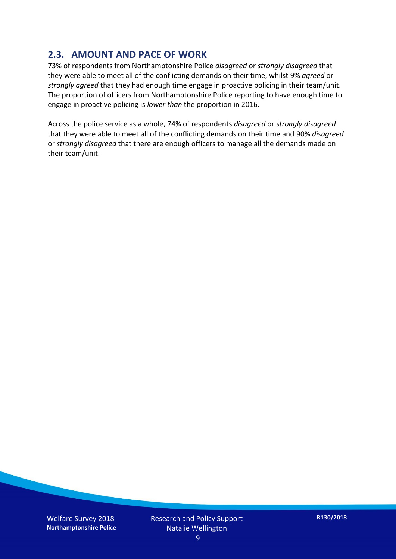#### **2.3. AMOUNT AND PACE OF WORK**

73% of respondents from Northamptonshire Police *disagreed* or *strongly disagreed* that they were able to meet all of the conflicting demands on their time, whilst 9% *agreed* or *strongly agreed* that they had enough time engage in proactive policing in their team/unit. The proportion of officers from Northamptonshire Police reporting to have enough time to engage in proactive policing is *lower than* the proportion in 2016.

Across the police service as a whole, 74% of respondents *disagreed* or *strongly disagreed* that they were able to meet all of the conflicting demands on their time and 90% *disagreed* or *strongly disagreed* that there are enough officers to manage all the demands made on their team/unit.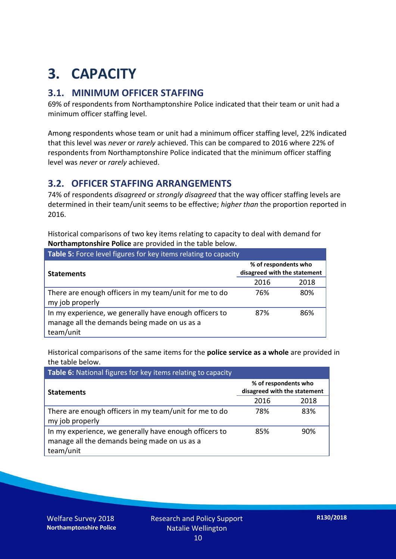## **3. CAPACITY**

#### **3.1. MINIMUM OFFICER STAFFING**

69% of respondents from Northamptonshire Police indicated that their team or unit had a minimum officer staffing level.

Among respondents whose team or unit had a minimum officer staffing level, 22% indicated that this level was *never* or *rarely* achieved. This can be compared to 2016 where 22% of respondents from Northamptonshire Police indicated that the minimum officer staffing level was *never* or *rarely* achieved.

#### **3.2. OFFICER STAFFING ARRANGEMENTS**

74% of respondents *disagreed* or *strongly disagreed* that the way officer staffing levels are determined in their team/unit seems to be effective; *higher than* the proportion reported in 2016.

Historical comparisons of two key items relating to capacity to deal with demand for **Northamptonshire Police** are provided in the table below.

| <b>Table 5:</b> Force level figures for key items relating to capacity                                              |                                                      |      |  |
|---------------------------------------------------------------------------------------------------------------------|------------------------------------------------------|------|--|
| <b>Statements</b>                                                                                                   | % of respondents who<br>disagreed with the statement |      |  |
|                                                                                                                     | 2016                                                 | 2018 |  |
| There are enough officers in my team/unit for me to do<br>my job properly                                           | 76%                                                  | 80%  |  |
| In my experience, we generally have enough officers to<br>manage all the demands being made on us as a<br>team/unit | 87%                                                  | 86%  |  |

Historical comparisons of the same items for the **police service as a whole** are provided in the table below.

| Table 6: National figures for key items relating to capacity                                                        |                                                      |      |  |  |
|---------------------------------------------------------------------------------------------------------------------|------------------------------------------------------|------|--|--|
| <b>Statements</b>                                                                                                   | % of respondents who<br>disagreed with the statement |      |  |  |
|                                                                                                                     | 2016                                                 | 2018 |  |  |
| There are enough officers in my team/unit for me to do<br>my job properly                                           | 78%                                                  | 83%  |  |  |
| In my experience, we generally have enough officers to<br>manage all the demands being made on us as a<br>team/unit | 85%                                                  | 90%  |  |  |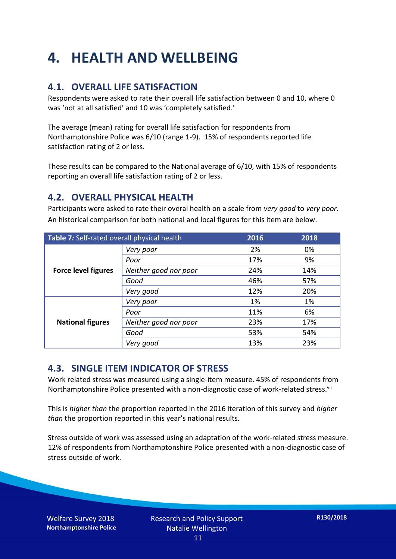### **4. HEALTH AND WELLBEING**

#### **4.1. OVERALL LIFE SATISFACTION**

Respondents were asked to rate their overall life satisfaction between 0 and 10, where 0 was 'not at all satisfied' and 10 was 'completely satisfied.'

The average (mean) rating for overall life satisfaction for respondents from Northamptonshire Police was 6/10 (range 1-9). 15% of respondents reported life satisfaction rating of 2 or less.

These results can be compared to the National average of 6/10, with 15% of respondents reporting an overall life satisfaction rating of 2 or less.

#### **4.2. OVERALL PHYSICAL HEALTH**

Participants were asked to rate their overal health on a scale from *very good* to *very poor*. An historical comparison for both national and local figures for this item are below.

| Table 7: Self-rated overall physical health |                       | 2016 | 2018 |
|---------------------------------------------|-----------------------|------|------|
|                                             | Very poor             | 2%   | 0%   |
|                                             | Poor                  | 17%  | 9%   |
| <b>Force level figures</b>                  | Neither good nor poor | 24%  | 14%  |
|                                             | Good                  | 46%  | 57%  |
|                                             | Very good             | 12%  | 20%  |
| <b>National figures</b>                     | Very poor             | 1%   | 1%   |
|                                             | Poor                  | 11%  | 6%   |
|                                             | Neither good nor poor | 23%  | 17%  |
|                                             | Good                  | 53%  | 54%  |
|                                             | Very good             | 13%  | 23%  |

#### **4.3. SINGLE ITEM INDICATOR OF STRESS**

Work related stress was measured using a single-item measure. 45% of respondents from Northamptonshire Police presented with a non-diagnostic case of work-related stress.<sup>vii</sup>

This is *higher than* the proportion reported in the 2016 iteration of this survey and *higher than* the proportion reported in this year's national results.

Stress outside of work was assessed using an adaptation of the work-related stress measure. 12% of respondents from Northamptonshire Police presented with a non-diagnostic case of stress outside of work.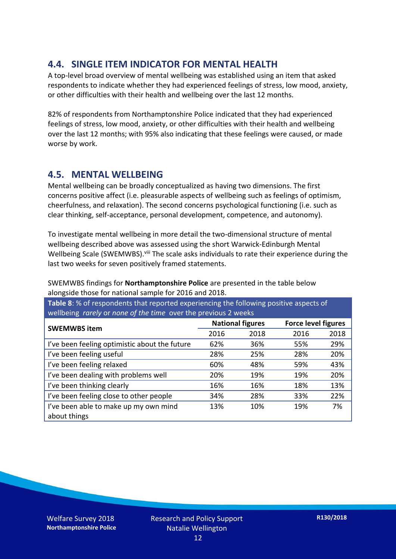#### **4.4. SINGLE ITEM INDICATOR FOR MENTAL HEALTH**

A top-level broad overview of mental wellbeing was established using an item that asked respondents to indicate whether they had experienced feelings of stress, low mood, anxiety, or other difficulties with their health and wellbeing over the last 12 months.

82% of respondents from Northamptonshire Police indicated that they had experienced feelings of stress, low mood, anxiety, or other difficulties with their health and wellbeing over the last 12 months; with 95% also indicating that these feelings were caused, or made worse by work.

#### **4.5. MENTAL WELLBEING**

Mental wellbeing can be broadly conceptualized as having two dimensions. The first concerns positive affect (i.e. pleasurable aspects of wellbeing such as feelings of optimism, cheerfulness, and relaxation). The second concerns psychological functioning (i.e. such as clear thinking, self-acceptance, personal development, competence, and autonomy).

To investigate mental wellbeing in more detail the two-dimensional structure of mental wellbeing described above was assessed using the short Warwick-Edinburgh Mental Wellbeing Scale (SWEMWBS). viii The scale asks individuals to rate their experience during the last two weeks for seven positively framed statements.

SWEMWBS findings for **Northamptonshire Police** are presented in the table below alongside those for national sample for 2016 and 2018.

**Table 8**: % of respondents that reported experiencing the following positive aspects of wellbeing *rarely* or *none of the time* over the previous 2 weeks

| <b>SWEMWBS item</b>                           | <b>National figures</b> |      | <b>Force level figures</b> |      |
|-----------------------------------------------|-------------------------|------|----------------------------|------|
|                                               | 2016                    | 2018 | 2016                       | 2018 |
| I've been feeling optimistic about the future | 62%                     | 36%  | 55%                        | 29%  |
| I've been feeling useful                      | 28%                     | 25%  | 28%                        | 20%  |
| I've been feeling relaxed                     | 60%                     | 48%  | 59%                        | 43%  |
| I've been dealing with problems well          | 20%                     | 19%  | 19%                        | 20%  |
| I've been thinking clearly                    | 16%                     | 16%  | 18%                        | 13%  |
| I've been feeling close to other people       | 34%                     | 28%  | 33%                        | 22%  |
| I've been able to make up my own mind         | 13%                     | 10%  | 19%                        | 7%   |
| about things                                  |                         |      |                            |      |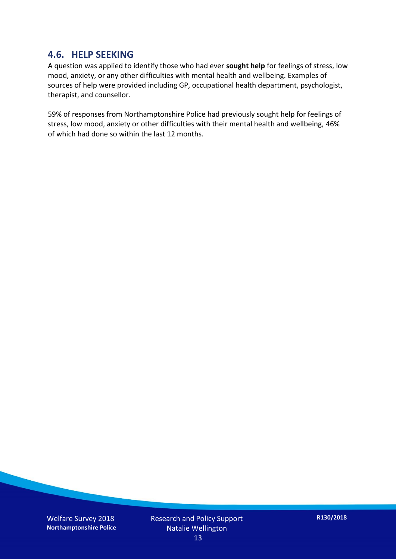#### **4.6. HELP SEEKING**

A question was applied to identify those who had ever **sought help** for feelings of stress, low mood, anxiety, or any other difficulties with mental health and wellbeing. Examples of sources of help were provided including GP, occupational health department, psychologist, therapist, and counsellor.

59% of responses from Northamptonshire Police had previously sought help for feelings of stress, low mood, anxiety or other difficulties with their mental health and wellbeing, 46% of which had done so within the last 12 months.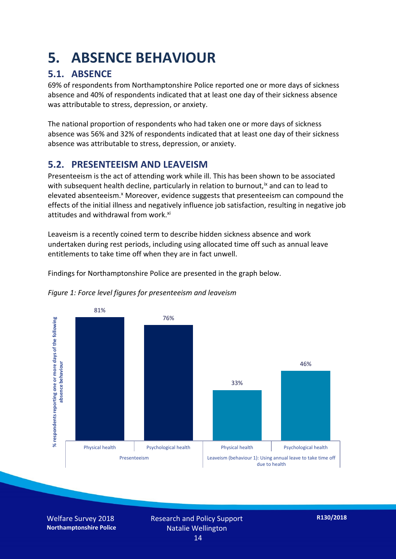### **5. ABSENCE BEHAVIOUR**

#### **5.1. ABSENCE**

69% of respondents from Northamptonshire Police reported one or more days of sickness absence and 40% of respondents indicated that at least one day of their sickness absence was attributable to stress, depression, or anxiety.

The national proportion of respondents who had taken one or more days of sickness absence was 56% and 32% of respondents indicated that at least one day of their sickness absence was attributable to stress, depression, or anxiety.

#### **5.2. PRESENTEEISM AND LEAVEISM**

Presenteeism is the act of attending work while ill. This has been shown to be associated with subsequent health decline, particularly in relation to burnout,  $\alpha$  and can to lead to elevated absenteeism.<sup>x</sup> Moreover, evidence suggests that presenteeism can compound the effects of the initial illness and negatively influence job satisfaction, resulting in negative job attitudes and withdrawal from work.<sup>xi</sup>

Leaveism is a recently coined term to describe hidden sickness absence and work undertaken during rest periods, including using allocated time off such as annual leave entitlements to take time off when they are in fact unwell.

Findings for Northamptonshire Police are presented in the graph below.



*Figure 1: Force level figures for presenteeism and leaveism*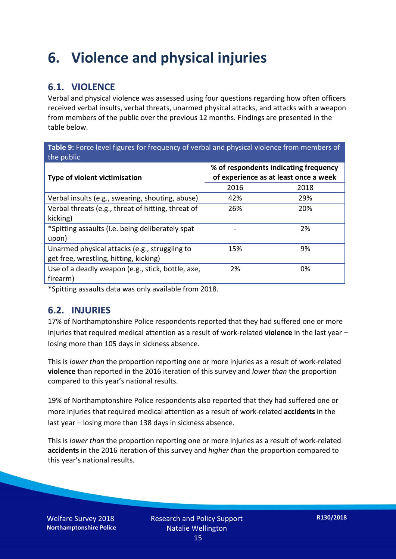### **6. Violence and physical injuries**

#### **6.1. VIOLENCE**

Verbal and physical violence was assessed using four questions regarding how often officers received verbal insults, verbal threats, unarmed physical attacks, and attacks with a weapon from members of the public over the previous 12 months. Findings are presented in the table below.

**Table 9:** Force level figures for frequency of verbal and physical violence from members of the public

| Type of violent victimisation                      | % of respondents indicating frequency<br>of experience as at least once a week |      |  |
|----------------------------------------------------|--------------------------------------------------------------------------------|------|--|
|                                                    | 2016                                                                           | 2018 |  |
| Verbal insults (e.g., swearing, shouting, abuse)   | 42%                                                                            | 29%  |  |
| Verbal threats (e.g., threat of hitting, threat of | 26%                                                                            | 20%  |  |
| kicking)                                           |                                                                                |      |  |
| *Spitting assaults (i.e. being deliberately spat   |                                                                                | 2%   |  |
| upon)                                              |                                                                                |      |  |
| Unarmed physical attacks (e.g., struggling to      | 15%                                                                            | 9%   |  |
| get free, wrestling, hitting, kicking)             |                                                                                |      |  |
| Use of a deadly weapon (e.g., stick, bottle, axe,  | 2%                                                                             | 0%   |  |
| firearm)                                           |                                                                                |      |  |

\*Spitting assaults data was only available from 2018.

#### **6.2. INJURIES**

17% of Northamptonshire Police respondents reported that they had suffered one or more injuries that required medical attention as a result of work-related **violence** in the last year – losing more than 105 days in sickness absence.

This is *lower than* the proportion reporting one or more injuries as a result of work-related **violence** than reported in the 2016 iteration of this survey and *lower than* the proportion compared to this year's national results.

19% of Northamptonshire Police respondents also reported that they had suffered one or more injuries that required medical attention as a result of work-related **accidents** in the last year – losing more than 138 days in sickness absence.

This is *lower than* the proportion reporting one or more injuries as a result of work-related **accidents** in the 2016 iteration of this survey and *higher than* the proportion compared to this year's national results.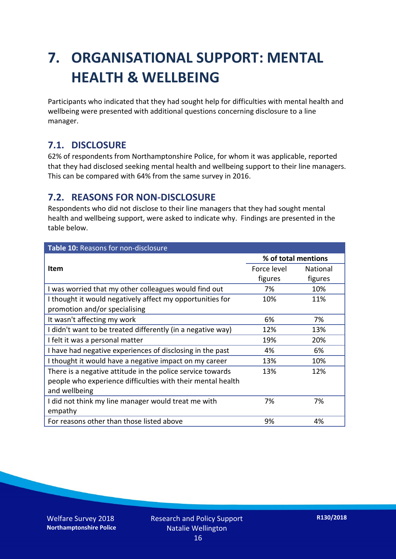### **7. ORGANISATIONAL SUPPORT: MENTAL HEALTH & WELLBEING**

Participants who indicated that they had sought help for difficulties with mental health and wellbeing were presented with additional questions concerning disclosure to a line manager.

#### **7.1. DISCLOSURE**

62% of respondents from Northamptonshire Police, for whom it was applicable, reported that they had disclosed seeking mental health and wellbeing support to their line managers. This can be compared with 64% from the same survey in 2016.

#### **7.2. REASONS FOR NON-DISCLOSURE**

Respondents who did not disclose to their line managers that they had sought mental health and wellbeing support, were asked to indicate why. Findings are presented in the table below.

| Table 10: Reasons for non-disclosure                        |                     |                 |  |
|-------------------------------------------------------------|---------------------|-----------------|--|
|                                                             | % of total mentions |                 |  |
| <b>Item</b>                                                 | Force level         | <b>National</b> |  |
|                                                             | figures             | figures         |  |
| I was worried that my other colleagues would find out       | 7%                  | 10%             |  |
| I thought it would negatively affect my opportunities for   | 10%                 | 11%             |  |
| promotion and/or specialising                               |                     |                 |  |
| It wasn't affecting my work                                 | 6%                  | 7%              |  |
| I didn't want to be treated differently (in a negative way) | 12%                 | 13%             |  |
| I felt it was a personal matter                             | 19%                 | 20%             |  |
| I have had negative experiences of disclosing in the past   | 4%                  | 6%              |  |
| I thought it would have a negative impact on my career      | 13%                 | 10%             |  |
| There is a negative attitude in the police service towards  | 13%                 | 12%             |  |
| people who experience difficulties with their mental health |                     |                 |  |
| and wellbeing                                               |                     |                 |  |
| I did not think my line manager would treat me with         | 7%                  | 7%              |  |
| empathy                                                     |                     |                 |  |
| For reasons other than those listed above                   | 9%                  | 4%              |  |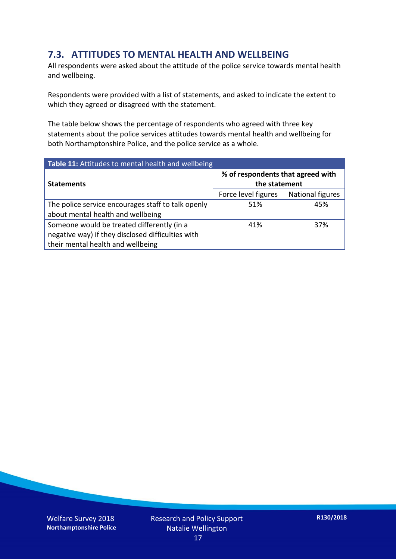#### **7.3. ATTITUDES TO MENTAL HEALTH AND WELLBEING**

All respondents were asked about the attitude of the police service towards mental health and wellbeing.

Respondents were provided with a list of statements, and asked to indicate the extent to which they agreed or disagreed with the statement.

The table below shows the percentage of respondents who agreed with three key statements about the police services attitudes towards mental health and wellbeing for both Northamptonshire Police, and the police service as a whole.

| Table 11: Attitudes to mental health and wellbeing |                                                    |                  |  |
|----------------------------------------------------|----------------------------------------------------|------------------|--|
| <b>Statements</b>                                  | % of respondents that agreed with<br>the statement |                  |  |
|                                                    | Force level figures                                | National figures |  |
| The police service encourages staff to talk openly | 51%                                                | 45%              |  |
| about mental health and wellbeing                  |                                                    |                  |  |
| Someone would be treated differently (in a         | 41%                                                | 37%              |  |
| negative way) if they disclosed difficulties with  |                                                    |                  |  |
| their mental health and wellbeing                  |                                                    |                  |  |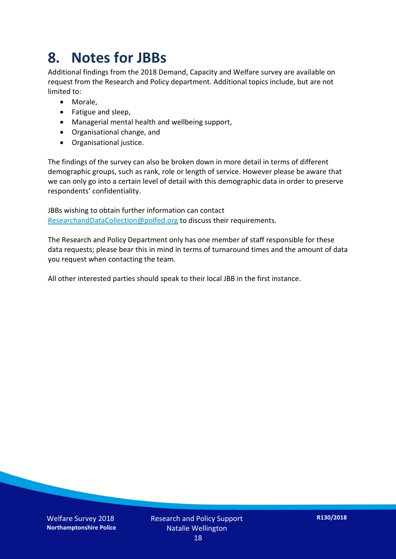### **8. Notes for JBBs**

Additional findings from the 2018 Demand, Capacity and Welfare survey are available on request from the Research and Policy department. Additional topics include, but are not limited to:

- Morale,
- Fatigue and sleep,
- Managerial mental health and wellbeing support,
- Organisational change, and
- Organisational justice.

The findings of the survey can also be broken down in more detail in terms of different demographic groups, such as rank, role or length of service. However please be aware that we can only go into a certain level of detail with this demographic data in order to preserve respondents' confidentiality.

JBBs wishing to obtain further information can contact [ResearchandDataCollection@polfed.org](mailto:ResearchandDataCollection@polfed.org) to discuss their requirements.

The Research and Policy Department only has one member of staff responsible for these data requests; please bear this in mind in terms of turnaround times and the amount of data you request when contacting the team.

All other interested parties should speak to their local JBB in the first instance.